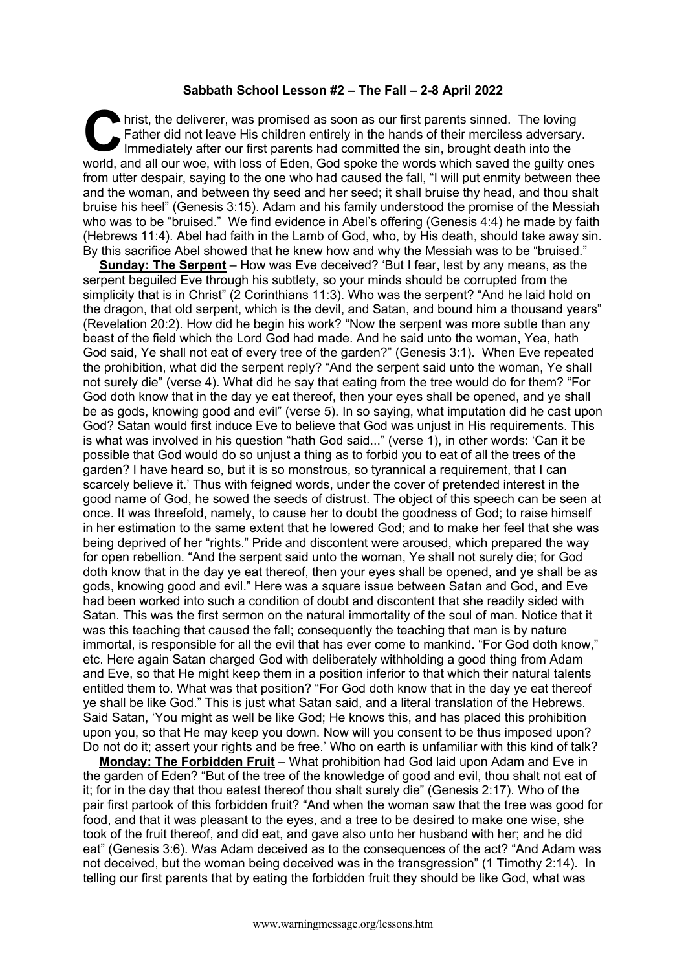## **Sabbath School Lesson #2 – The Fall – 2-8 April 2022**

hrist, the deliverer, was promised as soon as our first parents sinned. The loving Father did not leave His children entirely in the hands of their merciless adversary. Immediately after our first parents had committed the sin, brought death into the world, and all our woe, with loss of Eden, God spoke the words which saved the guilty ones from utter despair, saying to the one who had caused the fall, "I will put enmity between thee and the woman, and between thy seed and her seed; it shall bruise thy head, and thou shalt bruise his heel" (Genesis 3:15). Adam and his family understood the promise of the Messiah who was to be "bruised." We find evidence in Abel's offering (Genesis 4:4) he made by faith (Hebrews 11:4). Abel had faith in the Lamb of God, who, by His death, should take away sin. By this sacrifice Abel showed that he knew how and why the Messiah was to be "bruised." C Fa<br>
Im

**Sunday: The Serpent** – How was Eve deceived? 'But I fear, lest by any means, as the serpent beguiled Eve through his subtlety, so your minds should be corrupted from the simplicity that is in Christ" (2 Corinthians 11:3). Who was the serpent? "And he laid hold on the dragon, that old serpent, which is the devil, and Satan, and bound him a thousand years" (Revelation 20:2). How did he begin his work? "Now the serpent was more subtle than any beast of the field which the Lord God had made. And he said unto the woman, Yea, hath God said, Ye shall not eat of every tree of the garden?" (Genesis 3:1). When Eve repeated the prohibition, what did the serpent reply? "And the serpent said unto the woman, Ye shall not surely die" (verse 4). What did he say that eating from the tree would do for them? "For God doth know that in the day ye eat thereof, then your eyes shall be opened, and ye shall be as gods, knowing good and evil" (verse 5). In so saying, what imputation did he cast upon God? Satan would first induce Eve to believe that God was unjust in His requirements. This is what was involved in his question "hath God said..." (verse 1), in other words: 'Can it be possible that God would do so unjust a thing as to forbid you to eat of all the trees of the garden? I have heard so, but it is so monstrous, so tyrannical a requirement, that I can scarcely believe it.' Thus with feigned words, under the cover of pretended interest in the good name of God, he sowed the seeds of distrust. The object of this speech can be seen at once. It was threefold, namely, to cause her to doubt the goodness of God; to raise himself in her estimation to the same extent that he lowered God; and to make her feel that she was being deprived of her "rights." Pride and discontent were aroused, which prepared the way for open rebellion. "And the serpent said unto the woman, Ye shall not surely die; for God doth know that in the day ye eat thereof, then your eyes shall be opened, and ye shall be as gods, knowing good and evil." Here was a square issue between Satan and God, and Eve had been worked into such a condition of doubt and discontent that she readily sided with Satan. This was the first sermon on the natural immortality of the soul of man. Notice that it was this teaching that caused the fall; consequently the teaching that man is by nature immortal, is responsible for all the evil that has ever come to mankind. "For God doth know," etc. Here again Satan charged God with deliberately withholding a good thing from Adam and Eve, so that He might keep them in a position inferior to that which their natural talents entitled them to. What was that position? "For God doth know that in the day ye eat thereof ye shall be like God." This is just what Satan said, and a literal translation of the Hebrews. Said Satan, 'You might as well be like God; He knows this, and has placed this prohibition upon you, so that He may keep you down. Now will you consent to be thus imposed upon? Do not do it; assert your rights and be free.' Who on earth is unfamiliar with this kind of talk?

**Monday: The Forbidden Fruit** – What prohibition had God laid upon Adam and Eve in the garden of Eden? "But of the tree of the knowledge of good and evil, thou shalt not eat of it; for in the day that thou eatest thereof thou shalt surely die" (Genesis 2:17). Who of the pair first partook of this forbidden fruit? "And when the woman saw that the tree was good for food, and that it was pleasant to the eyes, and a tree to be desired to make one wise, she took of the fruit thereof, and did eat, and gave also unto her husband with her; and he did eat" (Genesis 3:6). Was Adam deceived as to the consequences of the act? "And Adam was not deceived, but the woman being deceived was in the transgression" (1 Timothy 2:14). In telling our first parents that by eating the forbidden fruit they should be like God, what was